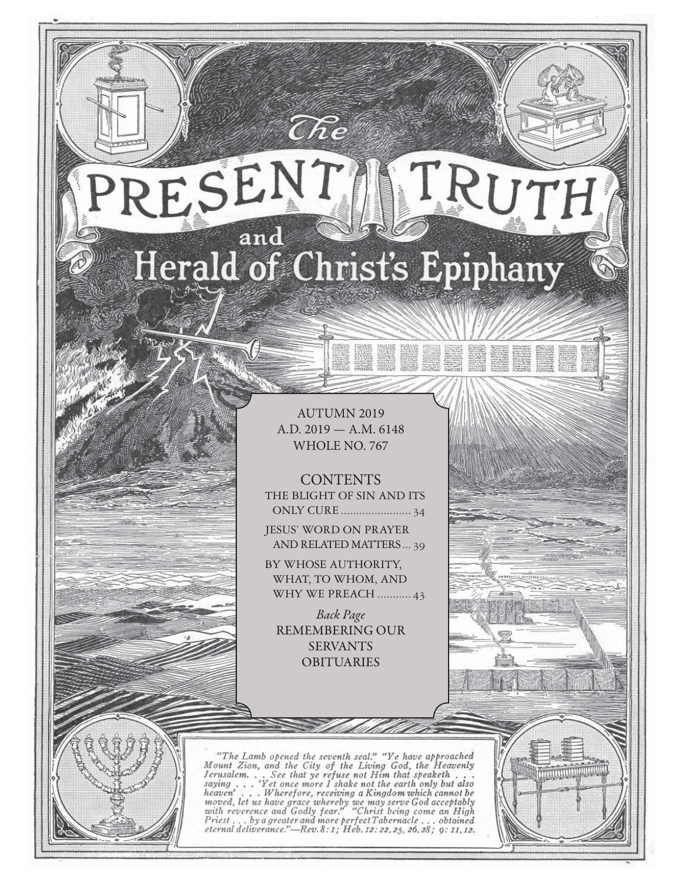# TRUTH RESENT and Herald of Christ's Epiphany

 $\widehat{C}\hspace{-0.6mm}\mathit{\widehat{R}} e$ 

AUTUMN 2019 A.D. 2019 — A.M. 6148 WHOLE NO. 767

**CONTENTS** THE BLIGHT OF SIN AND ITS ONLY CURE ....................... 34

JESUS' WORD ON PRAYER AND RELATED MATTERS ... 39

BY WHOSE AUTHORITY, WHAT, TO WHOM, AND WHY WE PREACH ........... 43

Back Page REMEMBERING OUR SERVANTS OBITUARIES

"The Lamb opened the seventh seal." "Ye have approached Mount Zion, and the City of the Living God, the Heavenly Jerusalem... See that ye refuse not Him that speaketh...<br>saying... 'Yet once more I shake not the earth only saying  $\ldots$ heaven'... Wherefore, receiving a Kingdom which cannot be<br>moved, let us have grace whereby we may serve God acceptably<br>with reverence and Godly fear." "Christ being come an High<br>Priest ... by a greater and more perfect Tab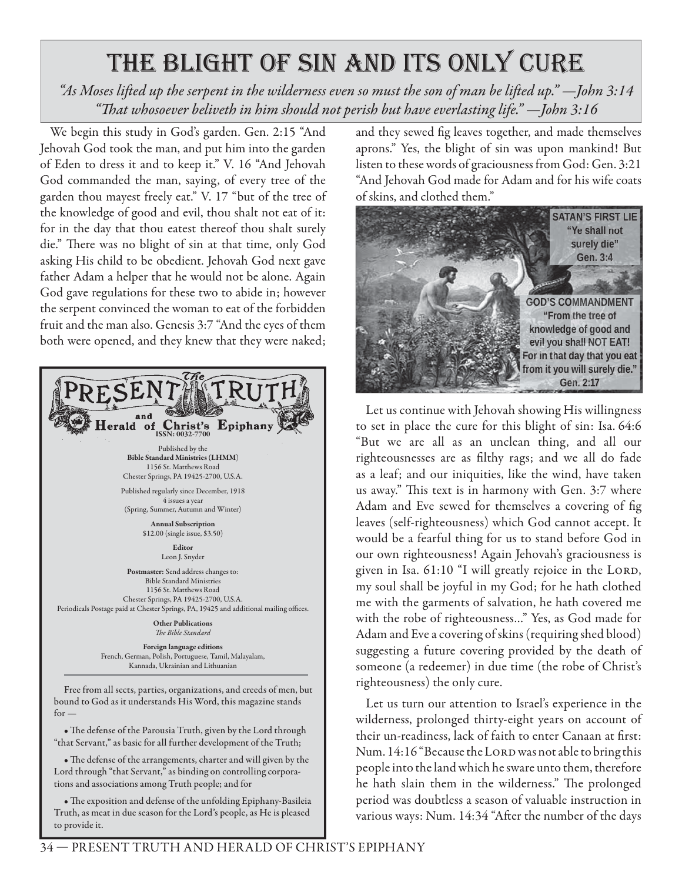# the blight of sin and its only cure

*"As Moses lift ed up the serpent in the wilderness even so must the son of man be lift ed up." —John 3:14 "Th at whosoever beliveth in him should not perish but have everlasting life." —John 3:16*

We begin this study in God's garden. Gen. 2:15 "And Jehovah God took the man, and put him into the garden of Eden to dress it and to keep it." V. 16 "And Jehovah God commanded the man, saying, of every tree of the garden thou mayest freely eat." V. 17 "but of the tree of the knowledge of good and evil, thou shalt not eat of it: for in the day that thou eatest thereof thou shalt surely die." There was no blight of sin at that time, only God asking His child to be obedient. Jehovah God next gave father Adam a helper that he would not be alone. Again God gave regulations for these two to abide in; however the serpent convinced the woman to eat of the forbidden fruit and the man also. Genesis 3:7 "And the eyes of them both were opened, and they knew that they were naked;



Free from all sects, parties, organizations, and creeds of men, but bound to God as it understands His Word, this magazine stands  $for -$ 

• The defense of the Parousia Truth, given by the Lord through "that Servant," as basic for all further development of the Truth;

• The defense of the arrangements, charter and will given by the Lord through "that Servant," as binding on controlling corporations and associations among Truth people; and for

• The exposition and defense of the unfolding Epiphany-Basileia Truth, as meat in due season for the Lord's people, as He is pleased to provide it.

and they sewed fig leaves together, and made themselves aprons." Yes, the blight of sin was upon mankind! But listen to these words of graciousness from God: Gen. 3:21 "And Jehovah God made for Adam and for his wife coats of skins, and clothed them."



Let us continue with Jehovah showing His willingness to set in place the cure for this blight of sin: Isa. 64:6 "But we are all as an unclean thing, and all our righteousnesses are as filthy rags; and we all do fade as a leaf; and our iniquities, like the wind, have taken us away." This text is in harmony with Gen. 3:7 where Adam and Eve sewed for themselves a covering of fig leaves (self-righteousness) which God cannot accept. It would be a fearful thing for us to stand before God in our own righteousness! Again Jehovah's graciousness is given in Isa. 61:10 "I will greatly rejoice in the LORD, my soul shall be joyful in my God; for he hath clothed me with the garments of salvation, he hath covered me with the robe of righteousness…" Yes, as God made for Adam and Eve a covering of skins (requiring shed blood) suggesting a future covering provided by the death of someone (a redeemer) in due time (the robe of Christ's righteousness) the only cure.

Let us turn our attention to Israel's experience in the wilderness, prolonged thirty-eight years on account of their un-readiness, lack of faith to enter Canaan at first: Num. 14:16 "Because the LORD was not able to bring this people into the land which he sware unto them, therefore he hath slain them in the wilderness." The prolonged period was doubtless a season of valuable instruction in various ways: Num. 14:34 "After the number of the days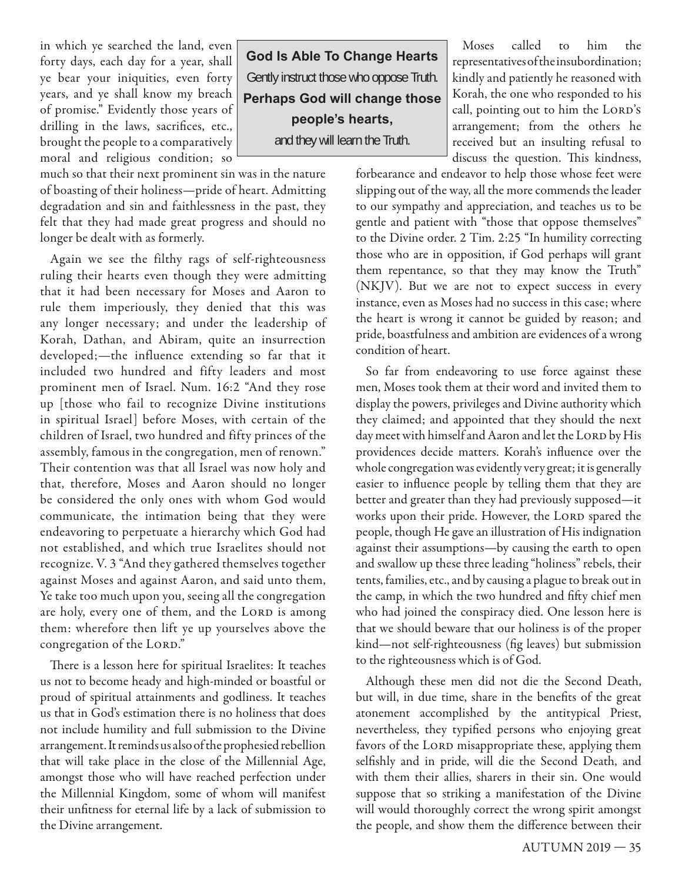in which ye searched the land, even forty days, each day for a year, shall ye bear your iniquities, even forty years, and ye shall know my breach of promise." Evidently those years of drilling in the laws, sacrifices, etc., brought the people to a comparatively moral and religious condition; so

much so that their next prominent sin was in the nature of boasting of their holiness—pride of heart. Admitting degradation and sin and faithlessness in the past, they felt that they had made great progress and should no longer be dealt with as formerly.

Again we see the filthy rags of self-righteousness ruling their hearts even though they were admitting that it had been necessary for Moses and Aaron to rule them imperiously, they denied that this was any longer necessary; and under the leadership of Korah, Dathan, and Abiram, quite an insurrection developed;—the influence extending so far that it included two hundred and fifty leaders and most prominent men of Israel. Num. 16:2 "And they rose up [those who fail to recognize Divine institutions in spiritual Israel] before Moses, with certain of the children of Israel, two hundred and fifty princes of the assembly, famous in the congregation, men of renown." Their contention was that all Israel was now holy and that, therefore, Moses and Aaron should no longer be considered the only ones with whom God would communicate, the intimation being that they were endeavoring to perpetuate a hierarchy which God had not established, and which true Israelites should not recognize. V. 3 "And they gathered themselves together against Moses and against Aaron, and said unto them, Ye take too much upon you, seeing all the congregation are holy, every one of them, and the LORD is among them: wherefore then lift ye up yourselves above the congregation of the LORD."

There is a lesson here for spiritual Israelites: It teaches us not to become heady and high-minded or boastful or proud of spiritual attainments and godliness. It teaches us that in God's estimation there is no holiness that does not include humility and full submission to the Divine arrangement. It reminds us also of the prophesied rebellion that will take place in the close of the Millennial Age, amongst those who will have reached perfection under the Millennial Kingdom, some of whom will manifest their unfitness for eternal life by a lack of submission to the Divine arrangement.

**God Is Able To Change Hearts** Gently instruct those who oppose Truth. **Perhaps God will change those people's hearts,**

and they will learn the Truth.

Moses called to him the representatives of the insubordination; kindly and patiently he reasoned with Korah, the one who responded to his call, pointing out to him the LORD's arrangement; from the others he received but an insulting refusal to discuss the question. This kindness,

forbearance and endeavor to help those whose feet were slipping out of the way, all the more commends the leader to our sympathy and appreciation, and teaches us to be gentle and patient with "those that oppose themselves" to the Divine order. 2 Tim. 2:25 "In humility correcting those who are in opposition, if God perhaps will grant them repentance, so that they may know the Truth" (NKJV). But we are not to expect success in every instance, even as Moses had no success in this case; where the heart is wrong it cannot be guided by reason; and pride, boastfulness and ambition are evidences of a wrong condition of heart.

So far from endeavoring to use force against these men, Moses took them at their word and invited them to display the powers, privileges and Divine authority which they claimed; and appointed that they should the next day meet with himself and Aaron and let the LORD by His providences decide matters. Korah's influence over the whole congregation was evidently very great; it is generally easier to influence people by telling them that they are better and greater than they had previously supposed—it works upon their pride. However, the LORD spared the people, though He gave an illustration of His indignation against their assumptions—by causing the earth to open and swallow up these three leading "holiness" rebels, their tents, families, etc., and by causing a plague to break out in the camp, in which the two hundred and fifty chief men who had joined the conspiracy died. One lesson here is that we should beware that our holiness is of the proper kind—not self-righteousness (fig leaves) but submission to the righteousness which is of God.

Although these men did not die the Second Death, but will, in due time, share in the benefits of the great atonement accomplished by the antitypical Priest, nevertheless, they typified persons who enjoying great favors of the LORD misappropriate these, applying them selfishly and in pride, will die the Second Death, and with them their allies, sharers in their sin. One would suppose that so striking a manifestation of the Divine will would thoroughly correct the wrong spirit amongst the people, and show them the difference between their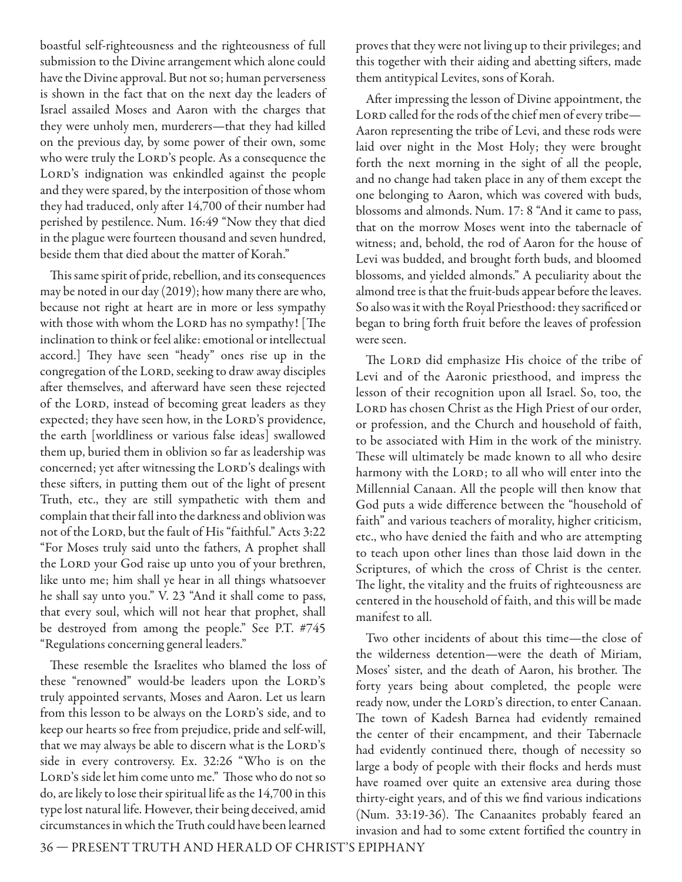boastful self-righteousness and the righteousness of full submission to the Divine arrangement which alone could have the Divine approval. But not so; human perverseness is shown in the fact that on the next day the leaders of Israel assailed Moses and Aaron with the charges that they were unholy men, murderers—that they had killed on the previous day, by some power of their own, some who were truly the LORD's people. As a consequence the LORD's indignation was enkindled against the people and they were spared, by the interposition of those whom they had traduced, only after 14,700 of their number had perished by pestilence. Num. 16:49 "Now they that died in the plague were fourteen thousand and seven hundred, beside them that died about the matter of Korah."

This same spirit of pride, rebellion, and its consequences may be noted in our day (2019); how many there are who, because not right at heart are in more or less sympathy with those with whom the LORD has no sympathy! [The inclination to think or feel alike: emotional or intellectual accord.] They have seen "heady" ones rise up in the congregation of the LORD, seeking to draw away disciples after themselves, and afterward have seen these rejected of the LORD, instead of becoming great leaders as they expected; they have seen how, in the LORD's providence, the earth [worldliness or various false ideas] swallowed them up, buried them in oblivion so far as leadership was concerned; yet after witnessing the LORD's dealings with these sifters, in putting them out of the light of present Truth, etc., they are still sympathetic with them and complain that their fall into the darkness and oblivion was not of the LORD, but the fault of His "faithful." Acts 3:22 "For Moses truly said unto the fathers, A prophet shall the LORD your God raise up unto you of your brethren, like unto me; him shall ye hear in all things whatsoever he shall say unto you." V. 23 "And it shall come to pass, that every soul, which will not hear that prophet, shall be destroyed from among the people." See P.T. #745 "Regulations concerning general leaders."

These resemble the Israelites who blamed the loss of these "renowned" would-be leaders upon the LORD's truly appointed servants, Moses and Aaron. Let us learn from this lesson to be always on the LORD's side, and to keep our hearts so free from prejudice, pride and self-will, that we may always be able to discern what is the LORD's side in every controversy. Ex. 32:26 "Who is on the LORD's side let him come unto me." Those who do not so do, are likely to lose their spiritual life as the 14,700 in this type lost natural life. However, their being deceived, amid circumstances in which the Truth could have been learned

proves that they were not living up to their privileges; and this together with their aiding and abetting sifters, made them antitypical Levites, sons of Korah.

After impressing the lesson of Divine appointment, the LORD called for the rods of the chief men of every tribe-Aaron representing the tribe of Levi, and these rods were laid over night in the Most Holy; they were brought forth the next morning in the sight of all the people, and no change had taken place in any of them except the one belonging to Aaron, which was covered with buds, blossoms and almonds. Num. 17: 8 "And it came to pass, that on the morrow Moses went into the tabernacle of witness; and, behold, the rod of Aaron for the house of Levi was budded, and brought forth buds, and bloomed blossoms, and yielded almonds." A peculiarity about the almond tree is that the fruit-buds appear before the leaves. So also was it with the Royal Priesthood: they sacrificed or began to bring forth fruit before the leaves of profession were seen.

The LORD did emphasize His choice of the tribe of Levi and of the Aaronic priesthood, and impress the lesson of their recognition upon all Israel. So, too, the LORD has chosen Christ as the High Priest of our order, or profession, and the Church and household of faith, to be associated with Him in the work of the ministry. These will ultimately be made known to all who desire harmony with the LORD; to all who will enter into the Millennial Canaan. All the people will then know that God puts a wide difference between the "household of faith" and various teachers of morality, higher criticism, etc., who have denied the faith and who are attempting to teach upon other lines than those laid down in the Scriptures, of which the cross of Christ is the center. The light, the vitality and the fruits of righteousness are centered in the household of faith, and this will be made manifest to all.

Two other incidents of about this time—the close of the wilderness detention—were the death of Miriam, Moses' sister, and the death of Aaron, his brother. The forty years being about completed, the people were ready now, under the LORD's direction, to enter Canaan. The town of Kadesh Barnea had evidently remained the center of their encampment, and their Tabernacle had evidently continued there, though of necessity so large a body of people with their flocks and herds must have roamed over quite an extensive area during those thirty-eight years, and of this we find various indications (Num. 33:19-36). The Canaanites probably feared an invasion and had to some extent fortified the country in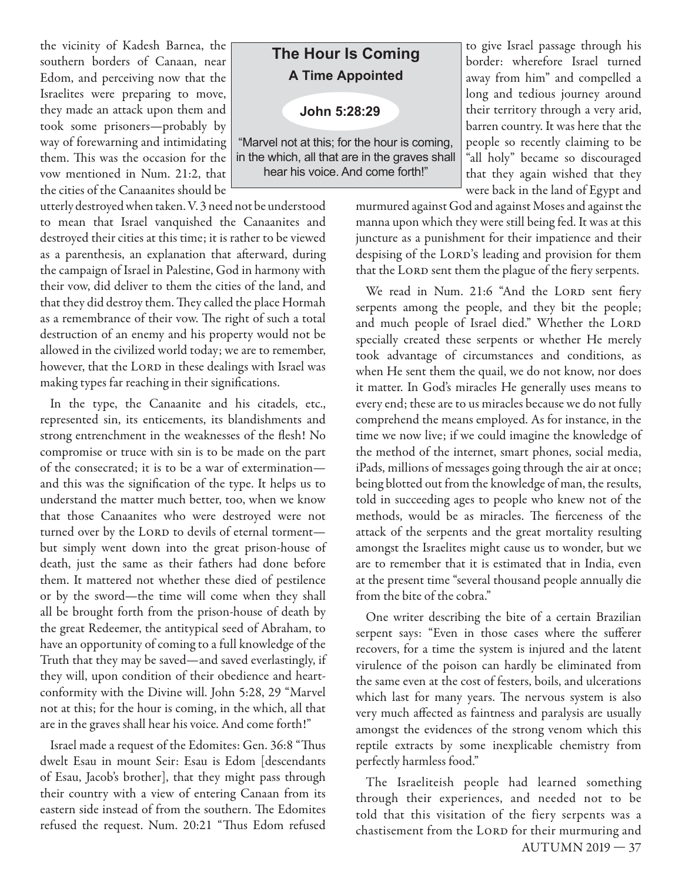the vicinity of Kadesh Barnea, the southern borders of Canaan, near Edom, and perceiving now that the Israelites were preparing to move, they made an attack upon them and took some prisoners—probably by way of forewarning and intimidating them. This was the occasion for the vow mentioned in Num. 21:2, that the cities of the Canaanites should be

utterly destroyed when taken. V. 3 need not be understood to mean that Israel vanquished the Canaanites and destroyed their cities at this time; it is rather to be viewed as a parenthesis, an explanation that afterward, during the campaign of Israel in Palestine, God in harmony with their vow, did deliver to them the cities of the land, and that they did destroy them. They called the place Hormah as a remembrance of their vow. The right of such a total destruction of an enemy and his property would not be allowed in the civilized world today; we are to remember, however, that the LORD in these dealings with Israel was making types far reaching in their significations.

In the type, the Canaanite and his citadels, etc., represented sin, its enticements, its blandishments and strong entrenchment in the weaknesses of the flesh! No compromise or truce with sin is to be made on the part of the consecrated; it is to be a war of extermination and this was the signification of the type. It helps us to understand the matter much better, too, when we know that those Canaanites who were destroyed were not turned over by the LORD to devils of eternal torment but simply went down into the great prison-house of death, just the same as their fathers had done before them. It mattered not whether these died of pestilence or by the sword—the time will come when they shall all be brought forth from the prison-house of death by the great Redeemer, the antitypical seed of Abraham, to have an opportunity of coming to a full knowledge of the Truth that they may be saved—and saved everlastingly, if they will, upon condition of their obedience and heartconformity with the Divine will. John 5:28, 29 "Marvel not at this; for the hour is coming, in the which, all that are in the graves shall hear his voice. And come forth!"

Israel made a request of the Edomites: Gen. 36:8 "Thus dwelt Esau in mount Seir: Esau is Edom [descendants of Esau, Jacob's brother], that they might pass through their country with a view of entering Canaan from its eastern side instead of from the southern. The Edomites refused the request. Num. 20:21 "Thus Edom refused

### **The Hour Is Coming A Time Appointed**

**John 5:28:29**

"Marvel not at this; for the hour is coming, in the which, all that are in the graves shall hear his voice. And come forth!"

to give Israel passage through his border: wherefore Israel turned away from him" and compelled a long and tedious journey around their territory through a very arid, barren country. It was here that the people so recently claiming to be "all holy" became so discouraged that they again wished that they were back in the land of Egypt and

murmured against God and against Moses and against the manna upon which they were still being fed. It was at this juncture as a punishment for their impatience and their despising of the LORD's leading and provision for them that the LORD sent them the plague of the fiery serpents.

We read in Num. 21:6 "And the LORD sent fiery serpents among the people, and they bit the people; and much people of Israel died." Whether the LORD specially created these serpents or whether He merely took advantage of circumstances and conditions, as when He sent them the quail, we do not know, nor does it matter. In God's miracles He generally uses means to every end; these are to us miracles because we do not fully comprehend the means employed. As for instance, in the time we now live; if we could imagine the knowledge of the method of the internet, smart phones, social media, iPads, millions of messages going through the air at once; being blotted out from the knowledge of man, the results, told in succeeding ages to people who knew not of the methods, would be as miracles. The fierceness of the attack of the serpents and the great mortality resulting amongst the Israelites might cause us to wonder, but we are to remember that it is estimated that in India, even at the present time "several thousand people annually die from the bite of the cobra."

One writer describing the bite of a certain Brazilian serpent says: "Even in those cases where the sufferer recovers, for a time the system is injured and the latent virulence of the poison can hardly be eliminated from the same even at the cost of festers, boils, and ulcerations which last for many years. The nervous system is also very much affected as faintness and paralysis are usually amongst the evidences of the strong venom which this reptile extracts by some inexplicable chemistry from perfectly harmless food."

AUTUMN 2019 — 37 The Israeliteish people had learned something through their experiences, and needed not to be told that this visitation of the fiery serpents was a chastisement from the LORD for their murmuring and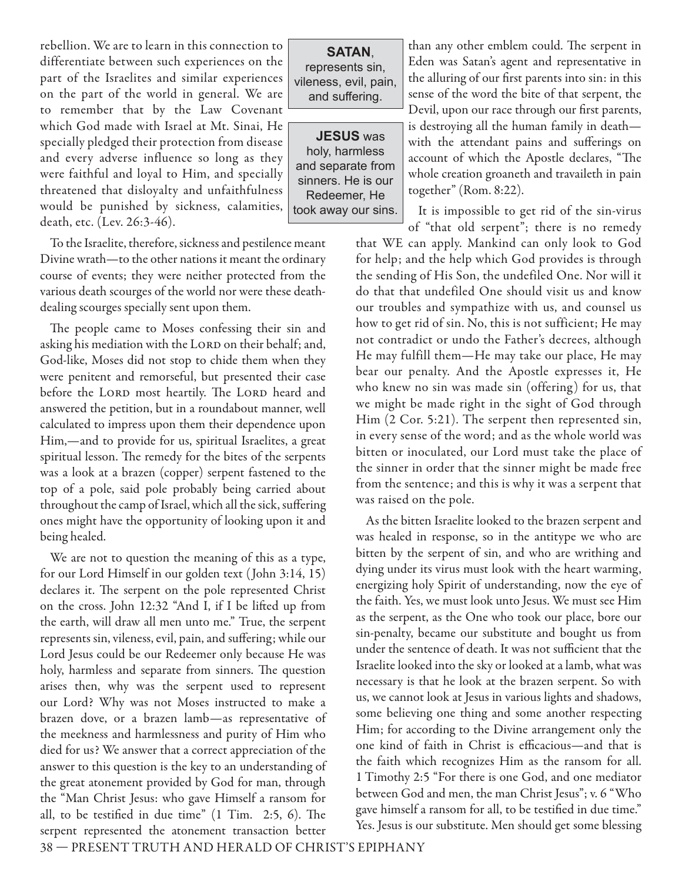rebellion. We are to learn in this connection to differentiate between such experiences on the part of the Israelites and similar experiences on the part of the world in general. We are to remember that by the Law Covenant which God made with Israel at Mt. Sinai, He specially pledged their protection from disease and every adverse influence so long as they were faithful and loyal to Him, and specially threatened that disloyalty and unfaithfulness would be punished by sickness, calamities, death, etc. (Lev. 26:3-46).

To the Israelite, therefore, sickness and pestilence meant Divine wrath—to the other nations it meant the ordinary course of events; they were neither protected from the various death scourges of the world nor were these deathdealing scourges specially sent upon them.

The people came to Moses confessing their sin and asking his mediation with the LORD on their behalf; and, God-like, Moses did not stop to chide them when they were penitent and remorseful, but presented their case before the LORD most heartily. The LORD heard and answered the petition, but in a roundabout manner, well calculated to impress upon them their dependence upon Him,—and to provide for us, spiritual Israelites, a great spiritual lesson. The remedy for the bites of the serpents was a look at a brazen (copper) serpent fastened to the top of a pole, said pole probably being carried about throughout the camp of Israel, which all the sick, suffering ones might have the opportunity of looking upon it and being healed.

We are not to question the meaning of this as a type, for our Lord Himself in our golden text ( John 3:14, 15) declares it. The serpent on the pole represented Christ on the cross. John 12:32 "And I, if I be lifted up from the earth, will draw all men unto me." True, the serpent represents sin, vileness, evil, pain, and suffering; while our Lord Jesus could be our Redeemer only because He was holy, harmless and separate from sinners. The question arises then, why was the serpent used to represent our Lord? Why was not Moses instructed to make a brazen dove, or a brazen lamb—as representative of the meekness and harmlessness and purity of Him who died for us? We answer that a correct appreciation of the answer to this question is the key to an understanding of the great atonement provided by God for man, through the "Man Christ Jesus: who gave Himself a ransom for all, to be testified in due time"  $(1 \text{ Tim. } 2:5, 6)$ . The serpent represented the atonement transaction better

**SATAN**, represents sin, vileness, evil, pain, and suffering.

**JESUS** was holy, harmless and separate from sinners. He is our Redeemer, He took away our sins.

than any other emblem could. The serpent in Eden was Satan's agent and representative in the alluring of our first parents into sin: in this sense of the word the bite of that serpent, the Devil, upon our race through our first parents, is destroying all the human family in death with the attendant pains and sufferings on account of which the Apostle declares, "The whole creation groaneth and travaileth in pain together" (Rom. 8:22).

It is impossible to get rid of the sin-virus of "that old serpent"; there is no remedy

that WE can apply. Mankind can only look to God for help; and the help which God provides is through the sending of His Son, the undefiled One. Nor will it do that that undefiled One should visit us and know our troubles and sympathize with us, and counsel us how to get rid of sin. No, this is not sufficient; He may not contradict or undo the Father's decrees, although He may fulfill them—He may take our place, He may bear our penalty. And the Apostle expresses it, He who knew no sin was made sin (offering) for us, that we might be made right in the sight of God through Him (2 Cor. 5:21). The serpent then represented sin, in every sense of the word; and as the whole world was bitten or inoculated, our Lord must take the place of the sinner in order that the sinner might be made free from the sentence; and this is why it was a serpent that was raised on the pole.

As the bitten Israelite looked to the brazen serpent and was healed in response, so in the antitype we who are bitten by the serpent of sin, and who are writhing and dying under its virus must look with the heart warming, energizing holy Spirit of understanding, now the eye of the faith. Yes, we must look unto Jesus. We must see Him as the serpent, as the One who took our place, bore our sin-penalty, became our substitute and bought us from under the sentence of death. It was not sufficient that the Israelite looked into the sky or looked at a lamb, what was necessary is that he look at the brazen serpent. So with us, we cannot look at Jesus in various lights and shadows, some believing one thing and some another respecting Him; for according to the Divine arrangement only the one kind of faith in Christ is efficacious—and that is the faith which recognizes Him as the ransom for all. 1 Timothy 2:5 "For there is one God, and one mediator between God and men, the man Christ Jesus"; v. 6 "Who gave himself a ransom for all, to be testified in due time." Yes. Jesus is our substitute. Men should get some blessing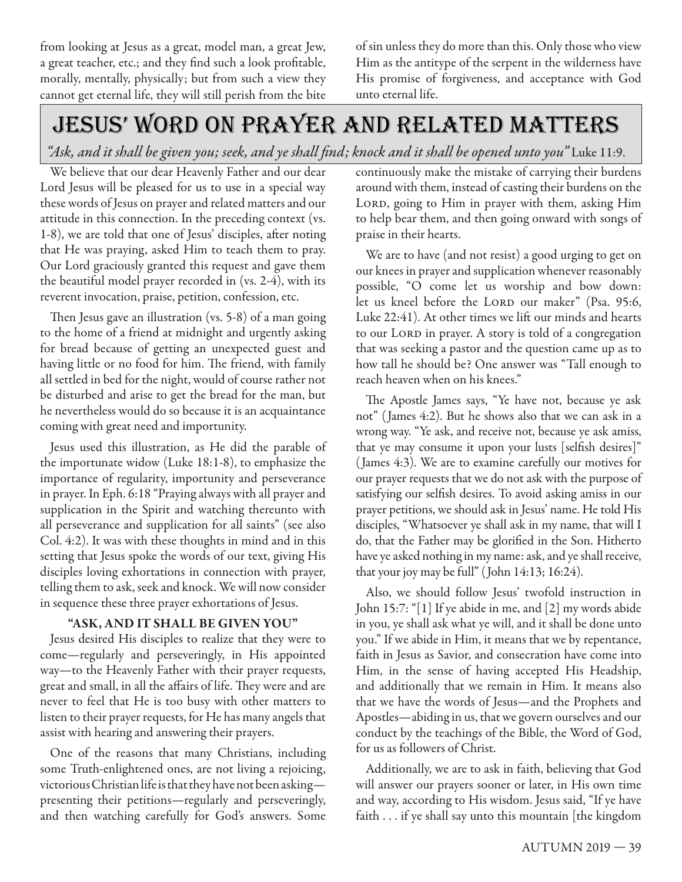from looking at Jesus as a great, model man, a great Jew, a great teacher, etc.; and they find such a look profitable, morally, mentally, physically; but from such a view they cannot get eternal life, they will still perish from the bite

of sin unless they do more than this. Only those who view Him as the antitype of the serpent in the wilderness have His promise of forgiveness, and acceptance with God unto eternal life.

# jesus' word on prayer and related matters

*"Ask, and it shall be given you; seek, and ye shall find; knock and it shall be opened unto you"* Luke 11:9.

We believe that our dear Heavenly Father and our dear Lord Jesus will be pleased for us to use in a special way these words of Jesus on prayer and related matters and our attitude in this connection. In the preceding context (vs. 1-8), we are told that one of Jesus' disciples, after noting that He was praying, asked Him to teach them to pray. Our Lord graciously granted this request and gave them the beautiful model prayer recorded in (vs. 2-4), with its reverent invocation, praise, petition, confession, etc.

Then Jesus gave an illustration (vs.  $5-8$ ) of a man going to the home of a friend at midnight and urgently asking for bread because of getting an unexpected guest and having little or no food for him. The friend, with family all settled in bed for the night, would of course rather not be disturbed and arise to get the bread for the man, but he nevertheless would do so because it is an acquaintance coming with great need and importunity.

Jesus used this illustration, as He did the parable of the importunate widow (Luke 18:1-8), to emphasize the importance of regularity, importunity and perseverance in prayer. In Eph. 6:18 "Praying always with all prayer and supplication in the Spirit and watching thereunto with all perseverance and supplication for all saints" (see also Col. 4:2). It was with these thoughts in mind and in this setting that Jesus spoke the words of our text, giving His disciples loving exhortations in connection with prayer, telling them to ask, seek and knock. We will now consider in sequence these three prayer exhortations of Jesus.

#### **"ASK, AND IT SHALL BE GIVEN YOU"**

Jesus desired His disciples to realize that they were to come—regularly and perseveringly, in His appointed way—to the Heavenly Father with their prayer requests, great and small, in all the affairs of life. They were and are never to feel that He is too busy with other matters to listen to their prayer requests, for He has many angels that assist with hearing and answering their prayers.

One of the reasons that many Christians, including some Truth-enlightened ones, are not living a rejoicing, victorious Christian life is that they have not been asking presenting their petitions—regularly and perseveringly, and then watching carefully for God's answers. Some

continuously make the mistake of carrying their burdens around with them, instead of casting their burdens on the LORD, going to Him in prayer with them, asking Him to help bear them, and then going onward with songs of praise in their hearts.

We are to have (and not resist) a good urging to get on our knees in prayer and supplication whenever reasonably possible, "O come let us worship and bow down: let us kneel before the LORD our maker" (Psa. 95:6, Luke 22:41). At other times we lift our minds and hearts to our LORD in prayer. A story is told of a congregation that was seeking a pastor and the question came up as to how tall he should be? One answer was "Tall enough to reach heaven when on his knees."

The Apostle James says, "Ye have not, because ye ask not" (James 4:2). But he shows also that we can ask in a wrong way. "Ye ask, and receive not, because ye ask amiss, that ye may consume it upon your lusts [selfish desires]" (James 4:3). We are to examine carefully our motives for our prayer requests that we do not ask with the purpose of satisfying our selfish desires. To avoid asking amiss in our prayer petitions, we should ask in Jesus' name. He told His disciples, "Whatsoever ye shall ask in my name, that will I do, that the Father may be glorified in the Son. Hitherto have ye asked nothing in my name: ask, and ye shall receive, that your joy may be full" (John 14:13; 16:24).

Also, we should follow Jesus' twofold instruction in John 15:7: "[1] If ye abide in me, and [2] my words abide in you, ye shall ask what ye will, and it shall be done unto you." If we abide in Him, it means that we by repentance, faith in Jesus as Savior, and consecration have come into Him, in the sense of having accepted His Headship, and additionally that we remain in Him. It means also that we have the words of Jesus—and the Prophets and Apostles—abiding in us, that we govern ourselves and our conduct by the teachings of the Bible, the Word of God, for us as followers of Christ.

Additionally, we are to ask in faith, believing that God will answer our prayers sooner or later, in His own time and way, according to His wisdom. Jesus said, "If ye have faith . . . if ye shall say unto this mountain [the kingdom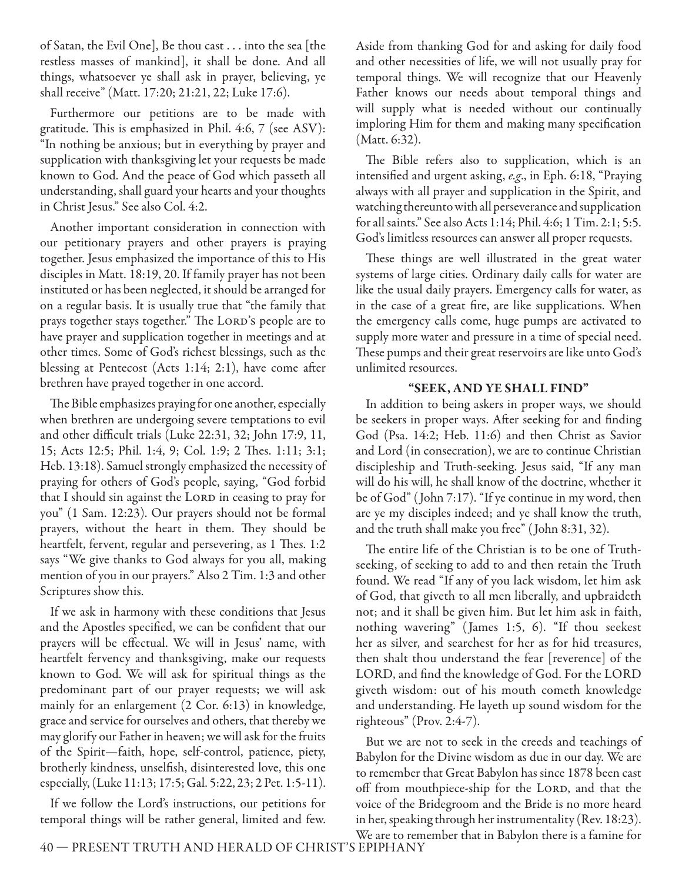of Satan, the Evil One], Be thou cast . . . into the sea [the restless masses of mankind], it shall be done. And all things, whatsoever ye shall ask in prayer, believing, ye shall receive" (Matt. 17:20; 21:21, 22; Luke 17:6).

Furthermore our petitions are to be made with gratitude. This is emphasized in Phil. 4:6,  $7$  (see ASV): "In nothing be anxious; but in everything by prayer and supplication with thanksgiving let your requests be made known to God. And the peace of God which passeth all understanding, shall guard your hearts and your thoughts in Christ Jesus." See also Col. 4:2.

Another important consideration in connection with our petitionary prayers and other prayers is praying together. Jesus emphasized the importance of this to His disciples in Matt. 18:19, 20. If family prayer has not been instituted or has been neglected, it should be arranged for on a regular basis. It is usually true that "the family that prays together stays together." The LORD's people are to have prayer and supplication together in meetings and at other times. Some of God's richest blessings, such as the blessing at Pentecost (Acts 1:14; 2:1), have come after brethren have prayed together in one accord.

The Bible emphasizes praying for one another, especially when brethren are undergoing severe temptations to evil and other difficult trials (Luke 22:31, 32; John 17:9, 11, 15; Acts 12:5; Phil. 1:4, 9; Col. 1:9; 2 Thes. 1:11; 3:1; Heb. 13:18). Samuel strongly emphasized the necessity of praying for others of God's people, saying, "God forbid that I should sin against the LORD in ceasing to pray for you" (1 Sam. 12:23). Our prayers should not be formal prayers, without the heart in them. They should be heartfelt, fervent, regular and persevering, as 1 Thes. 1:2 says "We give thanks to God always for you all, making mention of you in our prayers." Also 2 Tim. 1:3 and other Scriptures show this.

If we ask in harmony with these conditions that Jesus and the Apostles specified, we can be confident that our prayers will be effectual. We will in Jesus' name, with heartfelt fervency and thanksgiving, make our requests known to God. We will ask for spiritual things as the predominant part of our prayer requests; we will ask mainly for an enlargement (2 Cor. 6:13) in knowledge, grace and service for ourselves and others, that thereby we may glorify our Father in heaven; we will ask for the fruits of the Spirit—faith, hope, self-control, patience, piety, brotherly kindness, unselfish, disinterested love, this one especially, (Luke 11:13; 17:5; Gal. 5:22, 23; 2 Pet. 1:5-11).

If we follow the Lord's instructions, our petitions for temporal things will be rather general, limited and few.

Aside from thanking God for and asking for daily food and other necessities of life, we will not usually pray for temporal things. We will recognize that our Heavenly Father knows our needs about temporal things and will supply what is needed without our continually imploring Him for them and making many specification (Matt. 6:32).

The Bible refers also to supplication, which is an intensified and urgent asking, e.g., in Eph. 6:18, "Praying always with all prayer and supplication in the Spirit, and watching thereunto with all perseverance and supplication for all saints." See also Acts 1:14; Phil. 4:6; 1 Tim. 2:1; 5:5. God's limitless resources can answer all proper requests.

These things are well illustrated in the great water systems of large cities. Ordinary daily calls for water are like the usual daily prayers. Emergency calls for water, as in the case of a great fire, are like supplications. When the emergency calls come, huge pumps are activated to supply more water and pressure in a time of special need. These pumps and their great reservoirs are like unto God's unlimited resources.

#### **"SEEK, AND YE SHALL FIND"**

In addition to being askers in proper ways, we should be seekers in proper ways. After seeking for and finding God (Psa. 14:2; Heb. 11:6) and then Christ as Savior and Lord (in consecration), we are to continue Christian discipleship and Truth-seeking. Jesus said, "If any man will do his will, he shall know of the doctrine, whether it be of God" ( John 7:17). "If ye continue in my word, then are ye my disciples indeed; and ye shall know the truth, and the truth shall make you free" ( John 8:31, 32).

The entire life of the Christian is to be one of Truthseeking, of seeking to add to and then retain the Truth found. We read "If any of you lack wisdom, let him ask of God, that giveth to all men liberally, and upbraideth not; and it shall be given him. But let him ask in faith, nothing wavering" ( James 1:5, 6). "If thou seekest her as silver, and searchest for her as for hid treasures, then shalt thou understand the fear [reverence] of the LORD, and find the knowledge of God. For the LORD giveth wisdom: out of his mouth cometh knowledge and understanding. He layeth up sound wisdom for the righteous" (Prov. 2:4-7).

But we are not to seek in the creeds and teachings of Babylon for the Divine wisdom as due in our day. We are to remember that Great Babylon has since 1878 been cast off from mouthpiece-ship for the LORD, and that the voice of the Bridegroom and the Bride is no more heard in her, speaking through her instrumentality (Rev. 18:23). We are to remember that in Babylon there is a famine for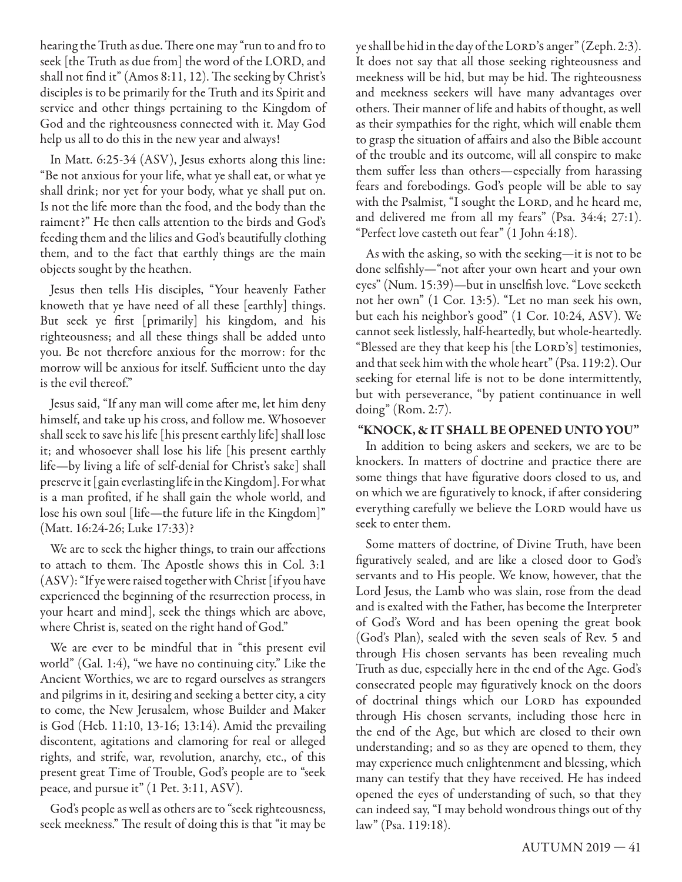hearing the Truth as due. There one may "run to and fro to seek [the Truth as due from] the word of the LORD, and shall not find it" (Amos 8:11, 12). The seeking by Christ's disciples is to be primarily for the Truth and its Spirit and service and other things pertaining to the Kingdom of God and the righteousness connected with it. May God help us all to do this in the new year and always!

In Matt. 6:25-34 (ASV), Jesus exhorts along this line: "Be not anxious for your life, what ye shall eat, or what ye shall drink; nor yet for your body, what ye shall put on. Is not the life more than the food, and the body than the raiment?" He then calls attention to the birds and God's feeding them and the lilies and God's beautifully clothing them, and to the fact that earthly things are the main objects sought by the heathen.

Jesus then tells His disciples, "Your heavenly Father knoweth that ye have need of all these [earthly] things. But seek ye first [primarily] his kingdom, and his righteousness; and all these things shall be added unto you. Be not therefore anxious for the morrow: for the morrow will be anxious for itself. Sufficient unto the day is the evil thereof."

Jesus said, "If any man will come after me, let him deny himself, and take up his cross, and follow me. Whosoever shall seek to save his life [his present earthly life] shall lose it; and whosoever shall lose his life [his present earthly life—by living a life of self-denial for Christ's sake] shall preserve it [gain everlasting life in the Kingdom]. For what is a man profited, if he shall gain the whole world, and lose his own soul [life—the future life in the Kingdom]" (Matt. 16:24-26; Luke 17:33)?

We are to seek the higher things, to train our affections to attach to them. The Apostle shows this in Col. 3:1 (ASV): "If ye were raised together with Christ [if you have experienced the beginning of the resurrection process, in your heart and mind], seek the things which are above, where Christ is, seated on the right hand of God."

We are ever to be mindful that in "this present evil world" (Gal. 1:4), "we have no continuing city." Like the Ancient Worthies, we are to regard ourselves as strangers and pilgrims in it, desiring and seeking a better city, a city to come, the New Jerusalem, whose Builder and Maker is God (Heb. 11:10, 13-16; 13:14). Amid the prevailing discontent, agitations and clamoring for real or alleged rights, and strife, war, revolution, anarchy, etc., of this present great Time of Trouble, God's people are to "seek peace, and pursue it" (1 Pet. 3:11, ASV).

God's people as well as others are to "seek righteousness, seek meekness." The result of doing this is that "it may be

ye shall be hid in the day of the LORD's anger" (Zeph. 2:3). It does not say that all those seeking righteousness and meekness will be hid, but may be hid. The righteousness and meekness seekers will have many advantages over others. Their manner of life and habits of thought, as well as their sympathies for the right, which will enable them to grasp the situation of affairs and also the Bible account of the trouble and its outcome, will all conspire to make them suffer less than others—especially from harassing fears and forebodings. God's people will be able to say with the Psalmist, "I sought the LORD, and he heard me, and delivered me from all my fears" (Psa. 34:4; 27:1). "Perfect love casteth out fear" (1 John 4:18).

As with the asking, so with the seeking—it is not to be done selfishly-"not after your own heart and your own eyes" (Num. 15:39)—but in unselfish love. "Love seeketh not her own" (1 Cor. 13:5). "Let no man seek his own, but each his neighbor's good" (1 Cor. 10:24, ASV). We cannot seek listlessly, half-heartedly, but whole-heartedly. "Blessed are they that keep his [the LORD's] testimonies, and that seek him with the whole heart" (Psa. 119:2). Our seeking for eternal life is not to be done intermittently, but with perseverance, "by patient continuance in well doing" (Rom. 2:7).

#### **"KNOCK, & IT SHALL BE OPENED UNTO YOU"**

In addition to being askers and seekers, we are to be knockers. In matters of doctrine and practice there are some things that have figurative doors closed to us, and on which we are figuratively to knock, if after considering everything carefully we believe the LORD would have us seek to enter them.

Some matters of doctrine, of Divine Truth, have been figuratively sealed, and are like a closed door to God's servants and to His people. We know, however, that the Lord Jesus, the Lamb who was slain, rose from the dead and is exalted with the Father, has become the Interpreter of God's Word and has been opening the great book (God's Plan), sealed with the seven seals of Rev. 5 and through His chosen servants has been revealing much Truth as due, especially here in the end of the Age. God's consecrated people may figuratively knock on the doors of doctrinal things which our LORD has expounded through His chosen servants, including those here in the end of the Age, but which are closed to their own understanding; and so as they are opened to them, they may experience much enlightenment and blessing, which many can testify that they have received. He has indeed opened the eyes of understanding of such, so that they can indeed say, "I may behold wondrous things out of thy law" (Psa. 119:18).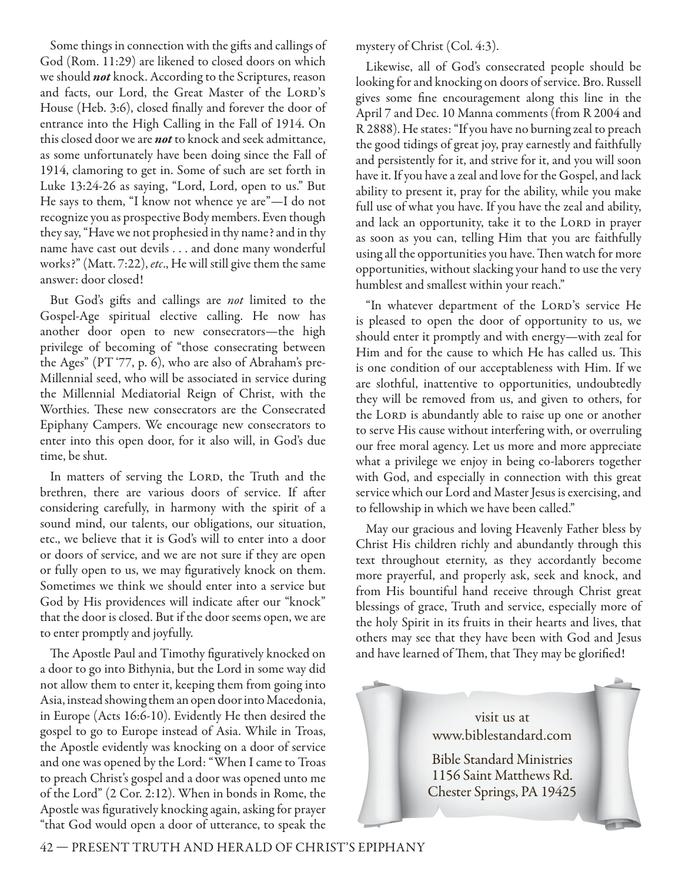Some things in connection with the gifts and callings of God (Rom. 11:29) are likened to closed doors on which we should *not* knock. According to the Scriptures, reason and facts, our Lord, the Great Master of the LORD's House (Heb. 3:6), closed finally and forever the door of entrance into the High Calling in the Fall of 1914. On this closed door we are *not* to knock and seek admittance, as some unfortunately have been doing since the Fall of 1914, clamoring to get in. Some of such are set forth in Luke 13:24-26 as saying, "Lord, Lord, open to us." But He says to them, "I know not whence ye are"—I do not recognize you as prospective Body members. Even though they say, "Have we not prophesied in thy name? and in thy name have cast out devils . . . and done many wonderful works?" (Matt. 7:22), etc., He will still give them the same answer: door closed!

But God's gifts and callings are not limited to the Gospel-Age spiritual elective calling. He now has another door open to new consecrators—the high privilege of becoming of "those consecrating between the Ages" (PT '77, p. 6), who are also of Abraham's pre-Millennial seed, who will be associated in service during the Millennial Mediatorial Reign of Christ, with the Worthies. These new consecrators are the Consecrated Epiphany Campers. We encourage new consecrators to enter into this open door, for it also will, in God's due time, be shut.

In matters of serving the LORD, the Truth and the brethren, there are various doors of service. If after considering carefully, in harmony with the spirit of a sound mind, our talents, our obligations, our situation, etc., we believe that it is God's will to enter into a door or doors of service, and we are not sure if they are open or fully open to us, we may figuratively knock on them. Sometimes we think we should enter into a service but God by His providences will indicate after our "knock" that the door is closed. But if the door seems open, we are to enter promptly and joyfully.

The Apostle Paul and Timothy figuratively knocked on a door to go into Bithynia, but the Lord in some way did not allow them to enter it, keeping them from going into Asia, instead showing them an open door into Macedonia, in Europe (Acts 16:6-10). Evidently He then desired the gospel to go to Europe instead of Asia. While in Troas, the Apostle evidently was knocking on a door of service and one was opened by the Lord: "When I came to Troas to preach Christ's gospel and a door was opened unto me of the Lord" (2 Cor. 2:12). When in bonds in Rome, the Apostle was figuratively knocking again, asking for prayer "that God would open a door of utterance, to speak the

mystery of Christ (Col. 4:3).

Likewise, all of God's consecrated people should be looking for and knocking on doors of service. Bro. Russell gives some fine encouragement along this line in the April 7 and Dec. 10 Manna comments (from R 2004 and R 2888). He states: "If you have no burning zeal to preach the good tidings of great joy, pray earnestly and faithfully and persistently for it, and strive for it, and you will soon have it. If you have a zeal and love for the Gospel, and lack ability to present it, pray for the ability, while you make full use of what you have. If you have the zeal and ability, and lack an opportunity, take it to the LORD in prayer as soon as you can, telling Him that you are faithfully using all the opportunities you have. Then watch for more opportunities, without slacking your hand to use the very humblest and smallest within your reach."

"In whatever department of the LORD's service He is pleased to open the door of opportunity to us, we should enter it promptly and with energy—with zeal for Him and for the cause to which He has called us. This is one condition of our acceptableness with Him. If we are slothful, inattentive to opportunities, undoubtedly they will be removed from us, and given to others, for the LORD is abundantly able to raise up one or another to serve His cause without interfering with, or overruling our free moral agency. Let us more and more appreciate what a privilege we enjoy in being co-laborers together with God, and especially in connection with this great service which our Lord and Master Jesus is exercising, and to fellowship in which we have been called."

May our gracious and loving Heavenly Father bless by Christ His children richly and abundantly through this text throughout eternity, as they accordantly become more prayerful, and properly ask, seek and knock, and from His bountiful hand receive through Christ great blessings of grace, Truth and service, especially more of the holy Spirit in its fruits in their hearts and lives, that others may see that they have been with God and Jesus and have learned of Them, that They may be glorified!



42 — PRESENT TRUTH AND HERALD OF CHRIST'S EPIPHANY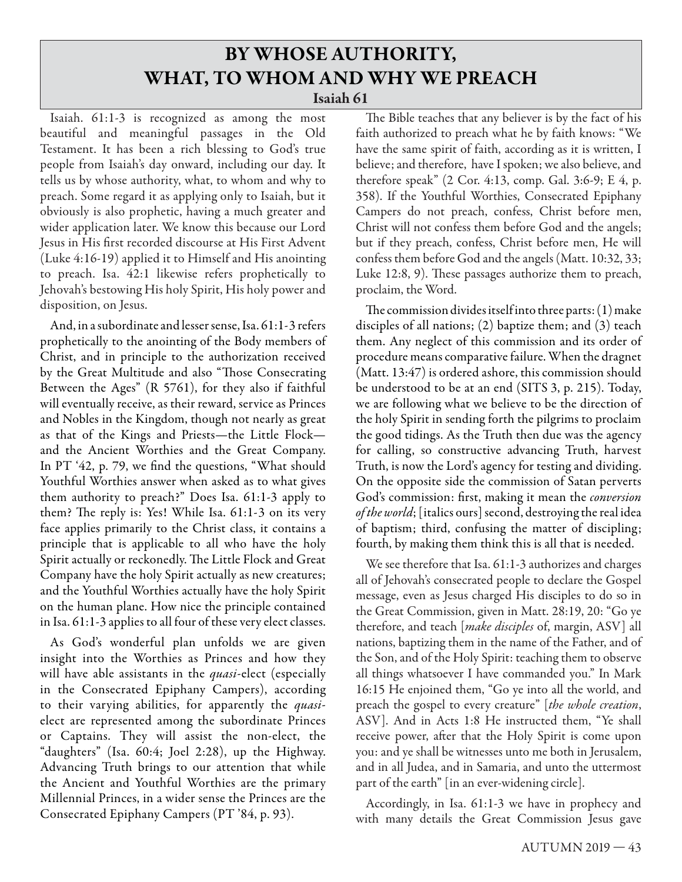## **BY WHOSE AUTHORITY, WHAT, TO WHOM AND WHY WE PREACH Isaiah 61**

Isaiah. 61:1-3 is recognized as among the most beautiful and meaningful passages in the Old Testament. It has been a rich blessing to God's true people from Isaiah's day onward, including our day. It tells us by whose authority, what, to whom and why to preach. Some regard it as applying only to Isaiah, but it obviously is also prophetic, having a much greater and wider application later. We know this because our Lord Jesus in His first recorded discourse at His First Advent (Luke 4:16-19) applied it to Himself and His anointing to preach. Isa. 42:1 likewise refers prophetically to Jehovah's bestowing His holy Spirit, His holy power and disposition, on Jesus.

And, in a subordinate and lesser sense, Isa. 61:1- 3 refers prophetically to the anointing of the Body members of Christ, and in principle to the authorization received by the Great Multitude and also "Those Consecrating Between the Ages" (R 5761), for they also if faithful will eventually receive, as their reward, service as Princes and Nobles in the Kingdom, though not nearly as great as that of the Kings and Priests—the Little Flock and the Ancient Worthies and the Great Company. In PT  $42$ , p. 79, we find the questions, "What should Youthful Worthies answer when asked as to what gives them authority to preach?" Does Isa. 61:1-3 apply to them? The reply is: Yes! While Isa.  $61:1-3$  on its very face applies primarily to the Christ class, it contains a principle that is applicable to all who have the holy Spirit actually or reckonedly. The Little Flock and Great Company have the holy Spirit actually as new creatures; and the Youthful Worthies actually have the holy Spirit on the human plane. How nice the principle contained in Isa. 61:1-3 applies to all four of these very elect classes.

As God's wonderful plan unfolds we are given insight into the Worthies as Princes and how they will have able assistants in the *quasi-elect* (especially in the Consecrated Epiphany Campers), according to their varying abilities, for apparently the *quasi*elect are represented among the subordinate Princes or Captains. They will assist the non-elect, the "daughters" (Isa. 60:4; Joel 2:28), up the Highway. Advancing Truth brings to our attention that while the Ancient and Youthful Worthies are the primary Millennial Princes, in a wider sense the Princes are the Consecrated Epiphany Campers (PT '84, p. 93).

The Bible teaches that any believer is by the fact of his faith authorized to preach what he by faith knows: "We have the same spirit of faith, according as it is written, I believe; and therefore, have I spoken; we also believe, and therefore speak" (2 Cor. 4:13, comp. Gal. 3:6-9; E 4, p. 358). If the Youthful Worthies, Consecrated Epiphany Campers do not preach, confess, Christ before men, Christ will not confess them before God and the angels; but if they preach, confess, Christ before men, He will confess them before God and the angels (Matt. 10:32, 33; Luke 12:8, 9). These passages authorize them to preach, proclaim, the Word.

The commission divides itself into three parts: (1) make disciples of all nations; (2) baptize them; and (3) teach them. Any neglect of this commission and its order of procedure means comparative failure. When the dragnet (Matt. 13:47) is ordered ashore, this commission should be understood to be at an end (SITS 3, p. 215). Today, we are following what we believe to be the direction of the holy Spirit in sending forth the pilgrims to proclaim the good tidings. As the Truth then due was the agency for calling, so constructive advancing Truth, harvest Truth, is now the Lord's agency for testing and dividing. On the opposite side the commission of Satan perverts God's commission: first, making it mean the *conversion* of the world; [italics ours] second, destroying the real idea of baptism; third, confusing the matter of discipling; fourth, by making them think this is all that is needed.

We see therefore that Isa. 61:1-3 authorizes and charges all of Jehovah's consecrated people to declare the Gospel message, even as Jesus charged His disciples to do so in the Great Commission, given in Matt. 28:19, 20: "Go ye therefore, and teach [make disciples of, margin, ASV] all nations, baptizing them in the name of the Father, and of the Son, and of the Holy Spirit: teaching them to observe all things whatsoever I have commanded you." In Mark 16:15 He enjoined them, "Go ye into all the world, and preach the gospel to every creature" [the whole creation, ASV]. And in Acts 1:8 He instructed them, "Ye shall receive power, after that the Holy Spirit is come upon you: and ye shall be witnesses unto me both in Jerusalem, and in all Judea, and in Samaria, and unto the uttermost part of the earth" [in an ever-widening circle].

Accordingly, in Isa. 61:1-3 we have in prophecy and with many details the Great Commission Jesus gave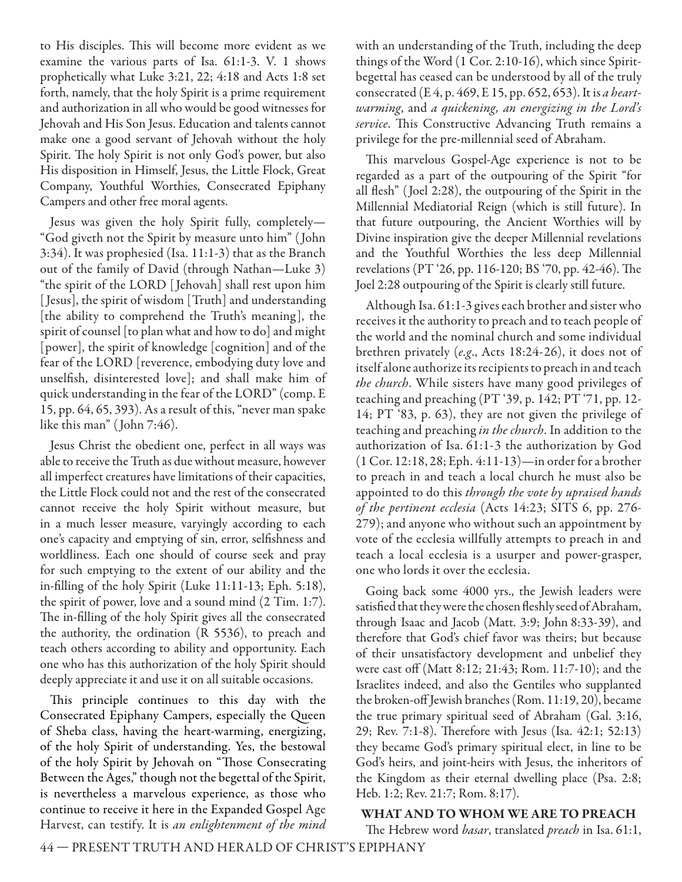to His disciples. This will become more evident as we examine the various parts of Isa. 61:1-3. V. 1 shows prophetically what Luke 3:21, 22; 4:18 and Acts 1:8 set forth, namely, that the holy Spirit is a prime requirement and authorization in all who would be good witnesses for Jehovah and His Son Jesus. Education and talents cannot make one a good servant of Jehovah without the holy Spirit. The holy Spirit is not only God's power, but also His disposition in Himself, Jesus, the Little Flock, Great Company, Youthful Worthies, Consecrated Epiphany Campers and other free moral agents.

Jesus was given the holy Spirit fully, completely— "God giveth not the Spirit by measure unto him" ( John 3:34). It was prophesied (Isa. 11:1-3) that as the Branch out of the family of David (through Nathan—Luke 3) "the spirit of the LORD [ Jehovah] shall rest upon him [ Jesus], the spirit of wisdom [Truth] and understanding [the ability to comprehend the Truth's meaning], the spirit of counsel [to plan what and how to do] and might [power], the spirit of knowledge [cognition] and of the fear of the LORD [reverence, embodying duty love and unselfish, disinterested love]; and shall make him of quick understanding in the fear of the LORD" (comp. E 15, pp. 64, 65, 393). As a result of this, "never man spake like this man" ( John 7:46).

Jesus Christ the obedient one, perfect in all ways was able to receive the Truth as due without measure, however all imperfect creatures have limitations of their capacities, the Little Flock could not and the rest of the consecrated cannot receive the holy Spirit without measure, but in a much lesser measure, varyingly according to each one's capacity and emptying of sin, error, selfishness and worldliness. Each one should of course seek and pray for such emptying to the extent of our ability and the in-filling of the holy Spirit (Luke 11:11-13; Eph. 5:18), the spirit of power, love and a sound mind (2 Tim. 1:7). The in-filling of the holy Spirit gives all the consecrated the authority, the ordination (R 5536), to preach and teach others according to ability and opportunity. Each one who has this authorization of the holy Spirit should deeply appreciate it and use it on all suitable occasions.

This principle continues to this day with the Consecrated Epiphany Campers, especially the Queen of Sheba class, having the heart-warming, energizing, of the holy Spirit of understanding. Yes, the bestowal of the holy Spirit by Jehovah on "Those Consecrating Between the Ages," though not the begettal of the Spirit, is nevertheless a marvelous experience, as those who continue to receive it here in the Expanded Gospel Age Harvest, can testify. It is an enlightenment of the mind with an understanding of the Truth, including the deep things of the Word (1 Cor. 2:10-16), which since Spiritbegettal has ceased can be understood by all of the truly consecrated (E 4, p. 469, E 15, pp. 652, 653). It is a heartwarming, and a quickening, an energizing in the Lord's service. This Constructive Advancing Truth remains a privilege for the pre-millennial seed of Abraham.

This marvelous Gospel-Age experience is not to be regarded as a part of the outpouring of the Spirit "for all flesh" (Joel 2:28), the outpouring of the Spirit in the Millennial Mediatorial Reign (which is still future). In that future outpouring, the Ancient Worthies will by Divine inspiration give the deeper Millennial revelations and the Youthful Worthies the less deep Millennial revelations (PT '26, pp. 116-120; BS '70, pp. 42-46). The Joel 2:28 outpouring of the Spirit is clearly still future.

Although Isa. 61:1-3 gives each brother and sister who receives it the authority to preach and to teach people of the world and the nominal church and some individual brethren privately (e.g., Acts 18:24-26), it does not of itself alone authorize its recipients to preach in and teach the church. While sisters have many good privileges of teaching and preaching (PT '39, p. 142; PT '71, pp. 12- 14; PT '83, p. 63), they are not given the privilege of teaching and preaching in the church. In addition to the authorization of Isa. 61:1-3 the authorization by God (1 Cor. 12:18, 28; Eph. 4:11-13)—in order for a brother to preach in and teach a local church he must also be appointed to do this through the vote by upraised hands of the pertinent ecclesia (Acts 14:23; SITS 6, pp. 276- 279); and anyone who without such an appointment by vote of the ecclesia willfully attempts to preach in and teach a local ecclesia is a usurper and power-grasper, one who lords it over the ecclesia.

Going back some 4000 yrs., the Jewish leaders were satisfied that they were the chosen fleshly seed of Abraham, through Isaac and Jacob (Matt. 3:9; John 8:33- 39), and therefore that God's chief favor was theirs; but because of their unsatisfactory development and unbelief they were cast off (Matt 8:12; 21:43; Rom. 11:7-10); and the Israelites indeed, and also the Gentiles who supplanted the broken-off Jewish branches (Rom. 11:19, 20), became the true primary spiritual seed of Abraham (Gal. 3:16, 29; Rev. 7:1-8). Therefore with Jesus (Isa. 42:1; 52:13) they became God's primary spiritual elect, in line to be God's heirs, and joint-heirs with Jesus, the inheritors of the Kingdom as their eternal dwelling place (Psa. 2:8; Heb. 1:2; Rev. 21:7; Rom. 8:17).

#### **WHAT AND TO WHOM WE ARE TO PREACH**

The Hebrew word basar, translated preach in Isa. 61:1,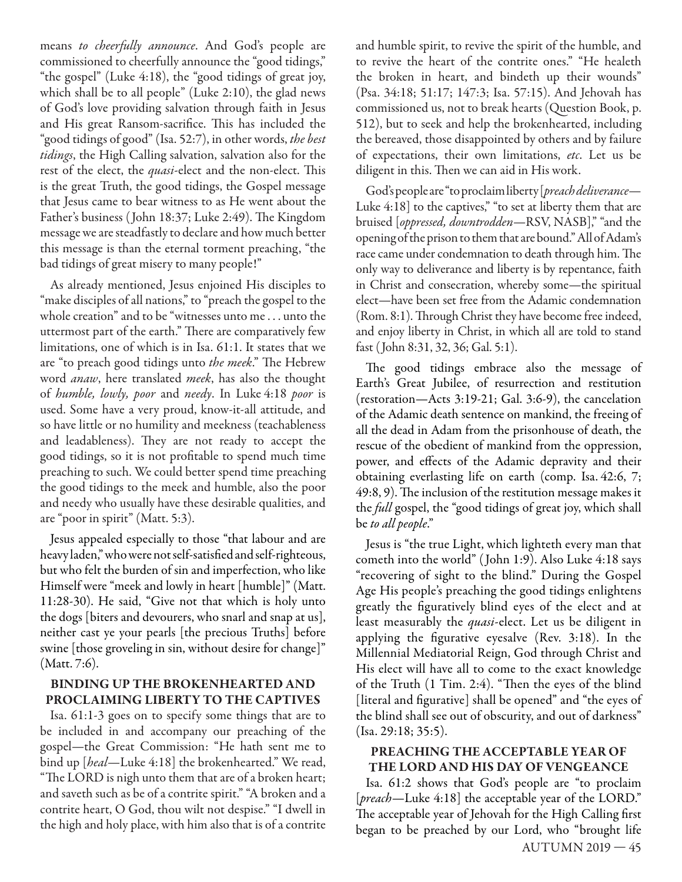means to cheerfully announce. And God's people are commissioned to cheerfully announce the "good tidings," "the gospel" (Luke 4:18), the "good tidings of great joy, which shall be to all people" (Luke 2:10), the glad news of God's love providing salvation through faith in Jesus and His great Ransom-sacrifice. This has included the "good tidings of good" (Isa. 52:7), in other words, *the best* tidings, the High Calling salvation, salvation also for the rest of the elect, the *quasi*-elect and the non-elect. This is the great Truth, the good tidings, the Gospel message that Jesus came to bear witness to as He went about the Father's business (John 18:37; Luke 2:49). The Kingdom message we are steadfastly to declare and how much better this message is than the eternal torment preaching, "the bad tidings of great misery to many people!"

As already mentioned, Jesus enjoined His disciples to "make disciples of all nations," to "preach the gospel to the whole creation" and to be "witnesses unto me . . . unto the uttermost part of the earth." There are comparatively few limitations, one of which is in Isa. 61:1. It states that we are "to preach good tidings unto the meek." The Hebrew word *anaw*, here translated *meek*, has also the thought of humble, lowly, poor and needy. In Luke 4:18 poor is used. Some have a very proud, know-it-all attitude, and so have little or no humility and meekness (teachableness and leadableness). They are not ready to accept the good tidings, so it is not profitable to spend much time preaching to such. We could better spend time preaching the good tidings to the meek and humble, also the poor and needy who usually have these desirable qualities, and are "poor in spirit" (Matt. 5:3).

Jesus appealed especially to those "that labour and are heavy laden," who were not self-satisfied and self-righteous, but who felt the burden of sin and imperfection, who like Himself were "meek and lowly in heart [humble]" (Matt. 11:28-30). He said, "Give not that which is holy unto the dogs [biters and devourers, who snarl and snap at us], neither cast ye your pearls [the precious Truths] before swine [those groveling in sin, without desire for change]" (Matt. 7:6).

#### **BINDING UP THE BROKENHEARTED AND PROCLAIMING LIBERTY TO THE CAPTIVES**

Isa. 61:1-3 goes on to specify some things that are to be included in and accompany our preaching of the gospel—the Great Commission: "He hath sent me to bind up [heal-Luke 4:18] the brokenhearted." We read, "The LORD is nigh unto them that are of a broken heart; and saveth such as be of a contrite spirit." "A broken and a contrite heart, O God, thou wilt not despise." "I dwell in the high and holy place, with him also that is of a contrite and humble spirit, to revive the spirit of the humble, and to revive the heart of the contrite ones." "He healeth the broken in heart, and bindeth up their wounds" (Psa. 34:18; 51:17; 147:3; Isa. 57:15). And Jehovah has commissioned us, not to break hearts (Question Book, p. 512), but to seek and help the brokenhearted, including the bereaved, those disappointed by others and by failure of expectations, their own limitations, etc. Let us be diligent in this. Then we can aid in His work.

God's people are "to proclaim liberty [preach deliverance-Luke 4:18] to the captives," "to set at liberty them that are bruised [oppressed, downtrodden—RSV, NASB]," "and the opening of the prison to them that are bound." All of Adam's race came under condemnation to death through him. The only way to deliverance and liberty is by repentance, faith in Christ and consecration, whereby some—the spiritual elect—have been set free from the Adamic condemnation (Rom. 8:1). Through Christ they have become free indeed, and enjoy liberty in Christ, in which all are told to stand fast (John 8:31, 32, 36; Gal. 5:1).

The good tidings embrace also the message of Earth's Great Jubilee, of resurrection and restitution (restoration—Acts 3:19-21; Gal. 3:6-9), the cancelation of the Adamic death sentence on mankind, the freeing of all the dead in Adam from the prisonhouse of death, the rescue of the obedient of mankind from the oppression, power, and effects of the Adamic depravity and their obtaining everlasting life on earth (comp. Isa. 42:6, 7;  $49:8, 9$ ). The inclusion of the restitution message makes it the full gospel, the "good tidings of great joy, which shall be to all people."

Jesus is "the true Light, which lighteth every man that cometh into the world" ( John 1:9). Also Luke 4:18 says "recovering of sight to the blind." During the Gospel Age His people's preaching the good tidings enlightens greatly the figuratively blind eyes of the elect and at least measurably the *quasi*-elect. Let us be diligent in applying the figurative eyesalve (Rev.  $3:18$ ). In the Millennial Mediatorial Reign, God through Christ and His elect will have all to come to the exact knowledge of the Truth  $(1 \text{ Tim. } 2:4)$ . "Then the eyes of the blind [literal and figurative] shall be opened" and "the eyes of the blind shall see out of obscurity, and out of darkness" (Isa. 29:18; 35:5).

#### **PREACHING THE ACCEPTABLE YEAR OF THE LORD AND HIS DAY OF VENGEANCE**

AUTUMN 2019 — 45 Isa. 61:2 shows that God's people are "to proclaim [preach-Luke 4:18] the acceptable year of the LORD." The acceptable year of Jehovah for the High Calling first began to be preached by our Lord, who "brought life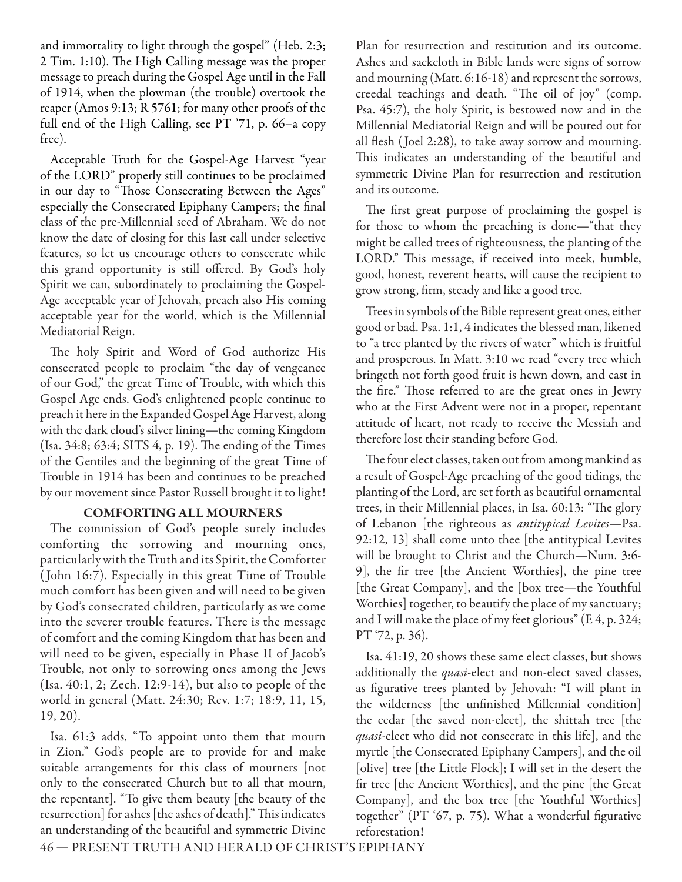and immortality to light through the gospel" (Heb. 2:3; 2 Tim. 1:10). The High Calling message was the proper message to preach during the Gospel Age until in the Fall of 1914, when the plowman (the trouble) overtook the reaper (Amos 9:13; R 5761; for many other proofs of the full end of the High Calling, see PT '71, p. 66–a copy free).

Acceptable Truth for the Gospel-Age Harvest "year of the LORD" properly still continues to be proclaimed in our day to "Those Consecrating Between the Ages" especially the Consecrated Epiphany Campers; the final class of the pre-Millennial seed of Abraham. We do not know the date of closing for this last call under selective features, so let us encourage others to consecrate while this grand opportunity is still offered. By God's holy Spirit we can, subordinately to proclaiming the Gospel-Age acceptable year of Jehovah, preach also His coming acceptable year for the world, which is the Millennial Mediatorial Reign.

The holy Spirit and Word of God authorize His consecrated people to proclaim "the day of vengeance of our God," the great Time of Trouble, with which this Gospel Age ends. God's enlightened people continue to preach it here in the Expanded Gospel Age Harvest, along with the dark cloud's silver lining—the coming Kingdom  $(Isa. 34:8; 63:4; SITS 4, p. 19).$  The ending of the Times of the Gentiles and the beginning of the great Time of Trouble in 1914 has been and continues to be preached by our movement since Pastor Russell brought it to light!

#### **COMFORTING ALL MOURNERS**

The commission of God's people surely includes comforting the sorrowing and mourning ones, particularly with the Truth and its Spirit, the Comforter ( John 16:7). Especially in this great Time of Trouble much comfort has been given and will need to be given by God's consecrated children, particularly as we come into the severer trouble features. There is the message of comfort and the coming Kingdom that has been and will need to be given, especially in Phase II of Jacob's Trouble, not only to sorrowing ones among the Jews (Isa. 40:1, 2; Zech. 12:9-14), but also to people of the world in general (Matt. 24:30; Rev. 1:7; 18:9, 11, 15, 19, 20).

Isa. 61:3 adds, "To appoint unto them that mourn in Zion." God's people are to provide for and make suitable arrangements for this class of mourners [not only to the consecrated Church but to all that mourn, the repentant]. "To give them beauty [the beauty of the resurrection] for ashes [the ashes of death]." This indicates an understanding of the beautiful and symmetric Divine

Plan for resurrection and restitution and its outcome. Ashes and sackcloth in Bible lands were signs of sorrow and mourning (Matt. 6:16-18) and represent the sorrows, creedal teachings and death. "The oil of joy" (comp. Psa. 45:7), the holy Spirit, is bestowed now and in the Millennial Mediatorial Reign and will be poured out for all flesh (Joel 2:28), to take away sorrow and mourning. This indicates an understanding of the beautiful and symmetric Divine Plan for resurrection and restitution and its outcome.

The first great purpose of proclaiming the gospel is for those to whom the preaching is done—"that they might be called trees of righteousness, the planting of the LORD." This message, if received into meek, humble, good, honest, reverent hearts, will cause the recipient to grow strong, firm, steady and like a good tree.

Trees in symbols of the Bible represent great ones, either good or bad. Psa. 1:1, 4 indicates the blessed man, likened to "a tree planted by the rivers of water" which is fruitful and prosperous. In Matt. 3:10 we read "every tree which bringeth not forth good fruit is hewn down, and cast in the fire." Those referred to are the great ones in Jewry who at the First Advent were not in a proper, repentant attitude of heart, not ready to receive the Messiah and therefore lost their standing before God.

The four elect classes, taken out from among mankind as a result of Gospel-Age preaching of the good tidings, the planting of the Lord, are set forth as beautiful ornamental trees, in their Millennial places, in Isa. 60:13: "The glory of Lebanon [the righteous as antitypical Levites—Psa. 92:12, 13] shall come unto thee [the antitypical Levites will be brought to Christ and the Church—Num. 3:6- 9], the fir tree [the Ancient Worthies], the pine tree [the Great Company], and the [box tree—the Youthful Worthies] together, to beautify the place of my sanctuary; and I will make the place of my feet glorious" (E 4, p. 324; PT '72, p. 36).

Isa. 41:19, 20 shows these same elect classes, but shows additionally the *quasi*-elect and non-elect saved classes, as figurative trees planted by Jehovah: "I will plant in the wilderness [the unfinished Millennial condition] the cedar [the saved non-elect], the shittah tree [the quasi-elect who did not consecrate in this life], and the myrtle [the Consecrated Epiphany Campers], and the oil [olive] tree [the Little Flock]; I will set in the desert the fir tree [the Ancient Worthies], and the pine [the Great Company], and the box tree [the Youthful Worthies] together" (PT '67, p. 75). What a wonderful figurative reforestation!

46 — PRESENT TRUTH AND HERALD OF CHRIST'S EPIPHANY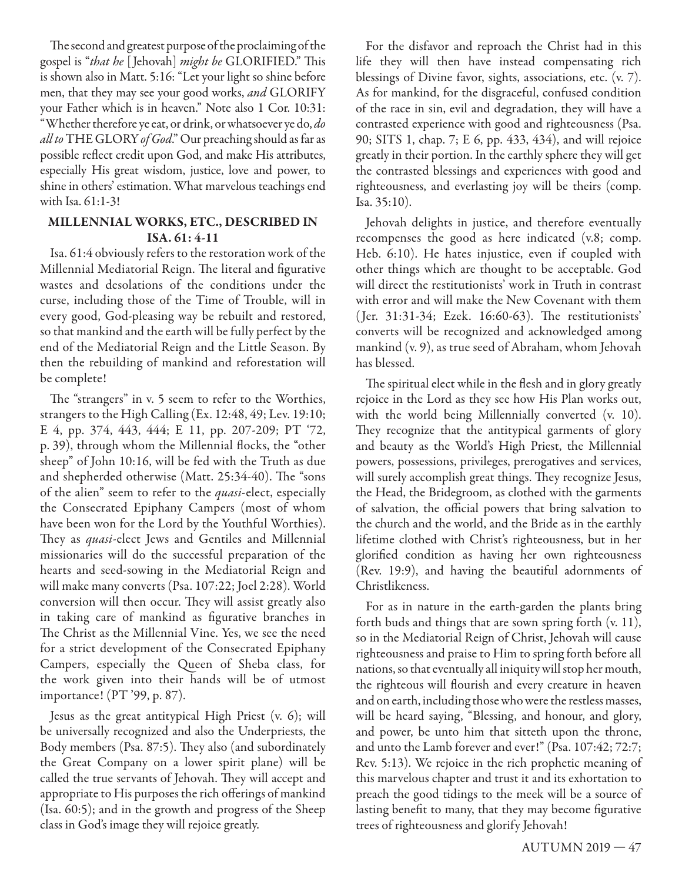The second and greatest purpose of the proclaiming of the gospel is "that he [Jehovah] might be GLORIFIED." This is shown also in Matt. 5:16: "Let your light so shine before men, that they may see your good works, and GLORIFY your Father which is in heaven." Note also 1 Cor. 10:31: "Whether therefore ye eat, or drink, or whatsoever ye do, do *all to* THE GLORY *of God*." Our preaching should as far as possible reflect credit upon God, and make His attributes, especially His great wisdom, justice, love and power, to shine in others' estimation. What marvelous teachings end with Isa. 61:1-3!

#### **MILLENNIAL WORKS, ETC., DESCRIBED IN ISA. 61: 4-11**

Isa. 61:4 obviously refers to the restoration work of the Millennial Mediatorial Reign. The literal and figurative wastes and desolations of the conditions under the curse, including those of the Time of Trouble, will in every good, God-pleasing way be rebuilt and restored, so that mankind and the earth will be fully perfect by the end of the Mediatorial Reign and the Little Season. By then the rebuilding of mankind and reforestation will be complete!

The "strangers" in v. 5 seem to refer to the Worthies, strangers to the High Calling (Ex. 12:48, 49; Lev. 19:10; E 4, pp. 374, 443, 444; E 11, pp. 207-209; PT '72, p. 39), through whom the Millennial flocks, the "other sheep" of John 10:16, will be fed with the Truth as due and shepherded otherwise (Matt. 25:34-40). The "sons of the alien" seem to refer to the *quasi-elect*, especially the Consecrated Epiphany Campers (most of whom have been won for the Lord by the Youthful Worthies). They as *quasi-elect* Jews and Gentiles and Millennial missionaries will do the successful preparation of the hearts and seed-sowing in the Mediatorial Reign and will make many converts (Psa. 107:22; Joel 2:28). World conversion will then occur. They will assist greatly also in taking care of mankind as figurative branches in The Christ as the Millennial Vine. Yes, we see the need for a strict development of the Consecrated Epiphany Campers, especially the Queen of Sheba class, for the work given into their hands will be of utmost importance! (PT '99, p. 87).

Jesus as the great antitypical High Priest (v. 6); will be universally recognized and also the Underpriests, the Body members (Psa. 87:5). They also (and subordinately the Great Company on a lower spirit plane) will be called the true servants of Jehovah. They will accept and appropriate to His purposes the rich offerings of mankind (Isa. 60:5); and in the growth and progress of the Sheep class in God's image they will rejoice greatly.

For the disfavor and reproach the Christ had in this life they will then have instead compensating rich blessings of Divine favor, sights, associations, etc. (v. 7). As for mankind, for the disgraceful, confused condition of the race in sin, evil and degradation, they will have a contrasted experience with good and righteousness (Psa. 90; SITS 1, chap. 7; E 6, pp. 433, 434), and will rejoice greatly in their portion. In the earthly sphere they will get the contrasted blessings and experiences with good and righteousness, and everlasting joy will be theirs (comp. Isa. 35:10).

Jehovah delights in justice, and therefore eventually recompenses the good as here indicated (v.8; comp. Heb. 6:10). He hates injustice, even if coupled with other things which are thought to be acceptable. God will direct the restitutionists' work in Truth in contrast with error and will make the New Covenant with them  $($  Jer. 31:31-34; Ezek. 16:60-63). The restitutionists' converts will be recognized and acknowledged among mankind (v. 9), as true seed of Abraham, whom Jehovah has blessed.

The spiritual elect while in the flesh and in glory greatly rejoice in the Lord as they see how His Plan works out, with the world being Millennially converted (v. 10). They recognize that the antitypical garments of glory and beauty as the World's High Priest, the Millennial powers, possessions, privileges, prerogatives and services, will surely accomplish great things. They recognize Jesus, the Head, the Bridegroom, as clothed with the garments of salvation, the official powers that bring salvation to the church and the world, and the Bride as in the earthly lifetime clothed with Christ's righteousness, but in her glorified condition as having her own righteousness (Rev. 19:9), and having the beautiful adornments of Christlikeness.

For as in nature in the earth-garden the plants bring forth buds and things that are sown spring forth (v. 11), so in the Mediatorial Reign of Christ, Jehovah will cause righteousness and praise to Him to spring forth before all nations, so that eventually all iniquity will stop her mouth, the righteous will flourish and every creature in heaven and on earth, including those who were the restless masses, will be heard saying, "Blessing, and honour, and glory, and power, be unto him that sitteth upon the throne, and unto the Lamb forever and ever!" (Psa. 107:42; 72:7; Rev. 5:13). We rejoice in the rich prophetic meaning of this marvelous chapter and trust it and its exhortation to preach the good tidings to the meek will be a source of lasting benefit to many, that they may become figurative trees of righteousness and glorify Jehovah!